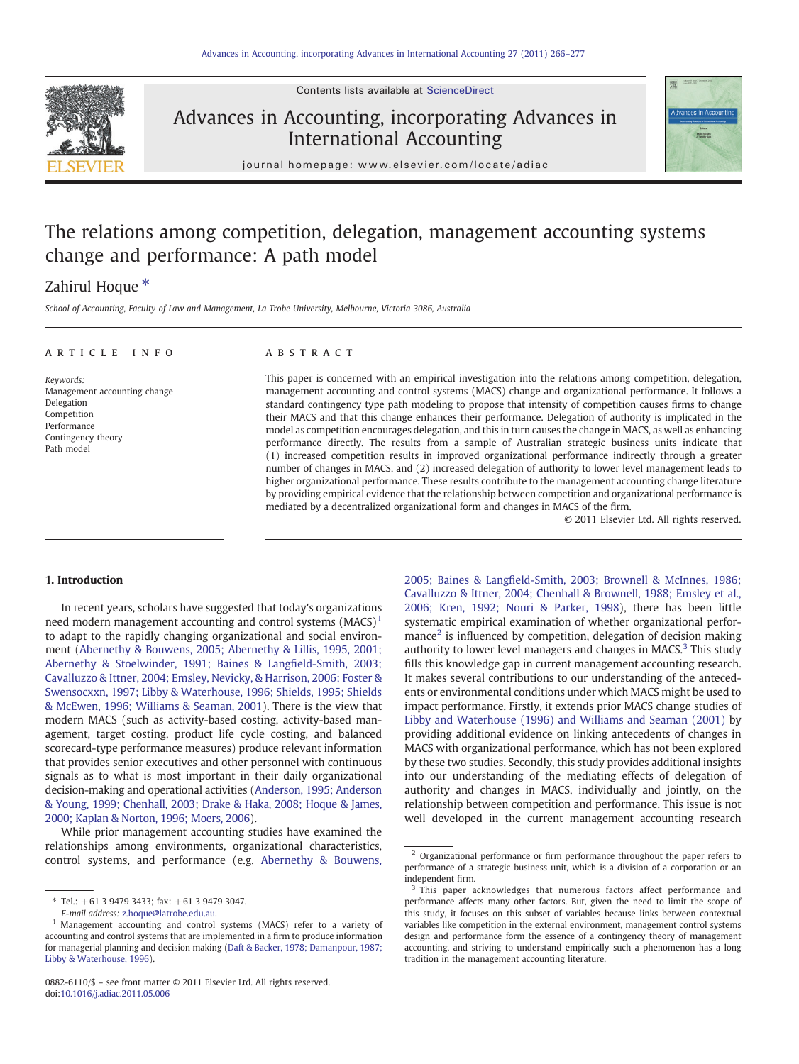Contents lists available at [ScienceDirect](http://www.sciencedirect.com/science/journal/08826110)



# Advances in Accounting, incorporating Advances in International Accounting



journal homepage: www.elsevier.com/locate/adiac

# The relations among competition, delegation, management accounting systems change and performance: A path model

## Zahirul Hoque<sup>\*</sup>

School of Accounting, Faculty of Law and Management, La Trobe University, Melbourne, Victoria 3086, Australia

### article info abstract

Keywords: Management accounting change Delegation Competition Performance Contingency theory Path model

This paper is concerned with an empirical investigation into the relations among competition, delegation, management accounting and control systems (MACS) change and organizational performance. It follows a standard contingency type path modeling to propose that intensity of competition causes firms to change their MACS and that this change enhances their performance. Delegation of authority is implicated in the model as competition encourages delegation, and this in turn causes the change in MACS, as well as enhancing performance directly. The results from a sample of Australian strategic business units indicate that (1) increased competition results in improved organizational performance indirectly through a greater number of changes in MACS, and (2) increased delegation of authority to lower level management leads to higher organizational performance. These results contribute to the management accounting change literature by providing empirical evidence that the relationship between competition and organizational performance is mediated by a decentralized organizational form and changes in MACS of the firm.

© 2011 Elsevier Ltd. All rights reserved.

#### 1. Introduction

In recent years, scholars have suggested that today's organizations need modern management accounting and control systems  $(MACS)^1$ to adapt to the rapidly changing organizational and social environment [\(Abernethy & Bouwens, 2005; Abernethy & Lillis, 1995, 2001;](#page--1-0) [Abernethy & Stoelwinder, 1991; Baines & Lang](#page--1-0)field-Smith, 2003; [Cavalluzzo & Ittner, 2004; Emsley, Nevicky, & Harrison, 2006; Foster &](#page--1-0) [Swensocxxn, 1997; Libby & Waterhouse, 1996; Shields, 1995; Shields](#page--1-0) [& McEwen, 1996; Williams & Seaman, 2001\)](#page--1-0). There is the view that modern MACS (such as activity-based costing, activity-based management, target costing, product life cycle costing, and balanced scorecard-type performance measures) produce relevant information that provides senior executives and other personnel with continuous signals as to what is most important in their daily organizational decision-making and operational activities [\(Anderson, 1995; Anderson](#page--1-0) [& Young, 1999; Chenhall, 2003; Drake & Haka, 2008; Hoque & James,](#page--1-0) [2000; Kaplan & Norton, 1996; Moers, 2006](#page--1-0)).

While prior management accounting studies have examined the relationships among environments, organizational characteristics, control systems, and performance (e.g. [Abernethy & Bouwens,](#page--1-0)

2005; Baines & Langfi[eld-Smith, 2003; Brownell & McInnes, 1986;](#page--1-0) [Cavalluzzo & Ittner, 2004; Chenhall & Brownell, 1988; Emsley et al.,](#page--1-0) [2006; Kren, 1992; Nouri & Parker, 1998\)](#page--1-0), there has been little systematic empirical examination of whether organizational performance<sup>2</sup> is influenced by competition, delegation of decision making authority to lower level managers and changes in MACS. $3$  This study fills this knowledge gap in current management accounting research. It makes several contributions to our understanding of the antecedents or environmental conditions under which MACS might be used to impact performance. Firstly, it extends prior MACS change studies of [Libby and Waterhouse \(1996\) and Williams and Seaman \(2001\)](#page--1-0) by providing additional evidence on linking antecedents of changes in MACS with organizational performance, which has not been explored by these two studies. Secondly, this study provides additional insights into our understanding of the mediating effects of delegation of authority and changes in MACS, individually and jointly, on the relationship between competition and performance. This issue is not well developed in the current management accounting research

 $*$  Tel.:  $+61$  3 9479 3433; fax:  $+61$  3 9479 3047.

E-mail address: [z.hoque@latrobe.edu.au](mailto:z.hoque@latrobe.edu.au).

<sup>&</sup>lt;sup>1</sup> Management accounting and control systems (MACS) refer to a variety of accounting and control systems that are implemented in a firm to produce information for managerial planning and decision making ([Daft & Backer, 1978; Damanpour, 1987;](#page--1-0) [Libby & Waterhouse, 1996](#page--1-0)).

<sup>0882-6110/\$</sup> – see front matter © 2011 Elsevier Ltd. All rights reserved. doi[:10.1016/j.adiac.2011.05.006](http://dx.doi.org/10.1016/j.adiac.2011.05.006)

<sup>&</sup>lt;sup>2</sup> Organizational performance or firm performance throughout the paper refers to performance of a strategic business unit, which is a division of a corporation or an independent firm.

<sup>&</sup>lt;sup>3</sup> This paper acknowledges that numerous factors affect performance and performance affects many other factors. But, given the need to limit the scope of this study, it focuses on this subset of variables because links between contextual variables like competition in the external environment, management control systems design and performance form the essence of a contingency theory of management accounting, and striving to understand empirically such a phenomenon has a long tradition in the management accounting literature.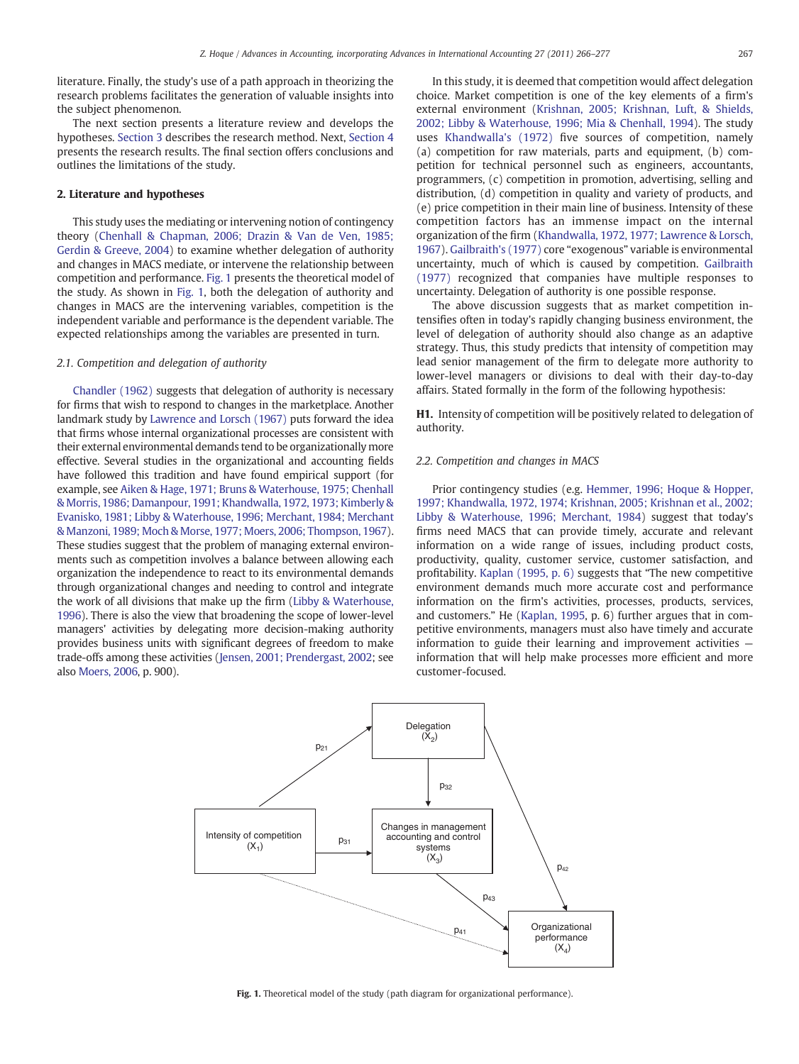literature. Finally, the study's use of a path approach in theorizing the research problems facilitates the generation of valuable insights into the subject phenomenon.

The next section presents a literature review and develops the hypotheses. [Section 3](#page--1-0) describes the research method. Next, [Section 4](#page--1-0) presents the research results. The final section offers conclusions and outlines the limitations of the study.

#### 2. Literature and hypotheses

This study uses the mediating or intervening notion of contingency theory ([Chenhall & Chapman, 2006; Drazin & Van de Ven, 1985;](#page--1-0) [Gerdin & Greeve, 2004](#page--1-0)) to examine whether delegation of authority and changes in MACS mediate, or intervene the relationship between competition and performance. Fig. 1 presents the theoretical model of the study. As shown in Fig. 1, both the delegation of authority and changes in MACS are the intervening variables, competition is the independent variable and performance is the dependent variable. The expected relationships among the variables are presented in turn.

#### 2.1. Competition and delegation of authority

[Chandler \(1962\)](#page--1-0) suggests that delegation of authority is necessary for firms that wish to respond to changes in the marketplace. Another landmark study by [Lawrence and Lorsch \(1967\)](#page--1-0) puts forward the idea that firms whose internal organizational processes are consistent with their external environmental demands tend to be organizationally more effective. Several studies in the organizational and accounting fields have followed this tradition and have found empirical support (for example, see [Aiken & Hage, 1971; Bruns & Waterhouse, 1975; Chenhall](#page--1-0) [& Morris, 1986; Damanpour, 1991; Khandwalla, 1972, 1973; Kimberly &](#page--1-0) [Evanisko, 1981; Libby & Waterhouse, 1996; Merchant, 1984; Merchant](#page--1-0) [& Manzoni, 1989; Moch & Morse, 1977; Moers, 2006; Thompson, 1967](#page--1-0)). These studies suggest that the problem of managing external environments such as competition involves a balance between allowing each organization the independence to react to its environmental demands through organizational changes and needing to control and integrate the work of all divisions that make up the firm ([Libby & Waterhouse,](#page--1-0) [1996](#page--1-0)). There is also the view that broadening the scope of lower-level managers' activities by delegating more decision-making authority provides business units with significant degrees of freedom to make trade-offs among these activities ([Jensen, 2001; Prendergast, 2002](#page--1-0); see also [Moers, 2006,](#page--1-0) p. 900).

In this study, it is deemed that competition would affect delegation choice. Market competition is one of the key elements of a firm's external environment [\(Krishnan, 2005; Krishnan, Luft, & Shields,](#page--1-0) [2002; Libby & Waterhouse, 1996; Mia & Chenhall, 1994](#page--1-0)). The study uses [Khandwalla's \(1972\)](#page--1-0) five sources of competition, namely (a) competition for raw materials, parts and equipment, (b) competition for technical personnel such as engineers, accountants, programmers, (c) competition in promotion, advertising, selling and distribution, (d) competition in quality and variety of products, and (e) price competition in their main line of business. Intensity of these competition factors has an immense impact on the internal organization of the firm [\(Khandwalla, 1972, 1977; Lawrence & Lorsch,](#page--1-0) [1967\)](#page--1-0). [Gailbraith's \(1977\)](#page--1-0) core "exogenous" variable is environmental uncertainty, much of which is caused by competition. [Gailbraith](#page--1-0) [\(1977\)](#page--1-0) recognized that companies have multiple responses to uncertainty. Delegation of authority is one possible response.

The above discussion suggests that as market competition intensifies often in today's rapidly changing business environment, the level of delegation of authority should also change as an adaptive strategy. Thus, this study predicts that intensity of competition may lead senior management of the firm to delegate more authority to lower-level managers or divisions to deal with their day-to-day affairs. Stated formally in the form of the following hypothesis:

H1. Intensity of competition will be positively related to delegation of authority.

#### 2.2. Competition and changes in MACS

Prior contingency studies (e.g. [Hemmer, 1996; Hoque & Hopper,](#page--1-0) [1997; Khandwalla, 1972, 1974; Krishnan, 2005; Krishnan et al., 2002;](#page--1-0) [Libby & Waterhouse, 1996; Merchant, 1984](#page--1-0)) suggest that today's firms need MACS that can provide timely, accurate and relevant information on a wide range of issues, including product costs, productivity, quality, customer service, customer satisfaction, and profitability. [Kaplan \(1995, p. 6\)](#page--1-0) suggests that "The new competitive environment demands much more accurate cost and performance information on the firm's activities, processes, products, services, and customers." He [\(Kaplan, 1995](#page--1-0), p. 6) further argues that in competitive environments, managers must also have timely and accurate information to guide their learning and improvement activities information that will help make processes more efficient and more customer-focused.



Fig. 1. Theoretical model of the study (path diagram for organizational performance).